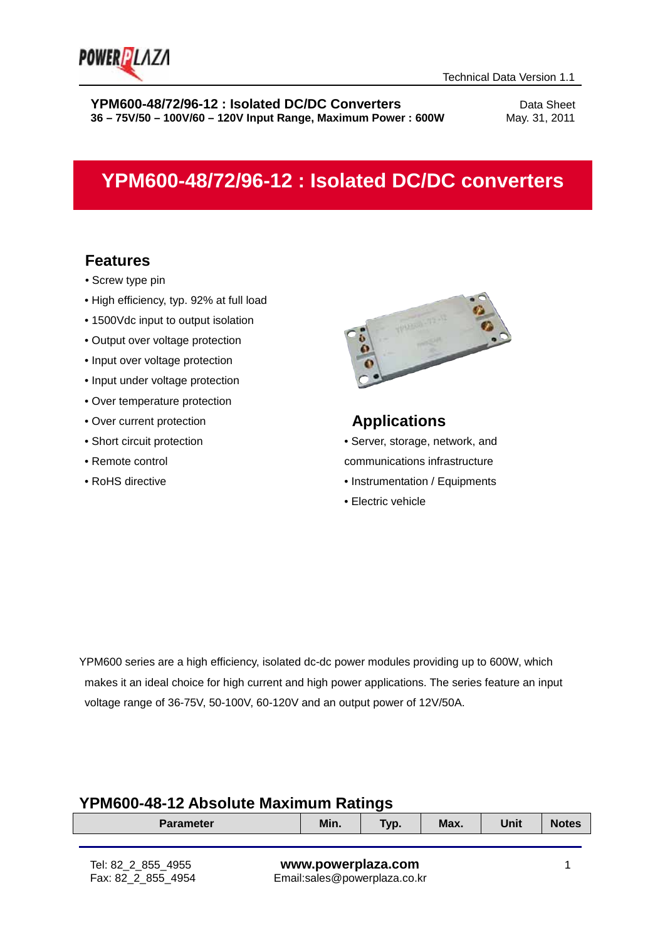

# **YPM600-48/72/96-12 : Isolated DC/DC converters**

### **Features**

- Screw type pin
- High efficiency, typ. 92% at full load
- 1500Vdc input to output isolation
- Output over voltage protection
- Input over voltage protection
- Input under voltage protection
- Over temperature protection
- Over current protection
- Short circuit protection
- Remote control
- RoHS directive



### **Applications**

• Server, storage, network, and communications infrastructure

- Instrumentation / Equipments
- Electric vehicle

YPM600 series are a high efficiency, isolated dc-dc power modules providing up to 600W, which makes it an ideal choice for high current and high power applications. The series feature an input voltage range of 36-75V, 50-100V, 60-120V and an output power of 12V/50A.

### **YPM600-48-12 Absolute Maximum Ratings**

| <b>Parameter</b>                         |                                                    | Min. | Typ. | Max. | Unit | <b>Notes</b> |
|------------------------------------------|----------------------------------------------------|------|------|------|------|--------------|
|                                          |                                                    |      |      |      |      |              |
| Tel: 82 2 855 4955<br>Fax: 82 2 855 4954 | www.powerplaza.com<br>Email:sales@powerplaza.co.kr |      |      |      |      |              |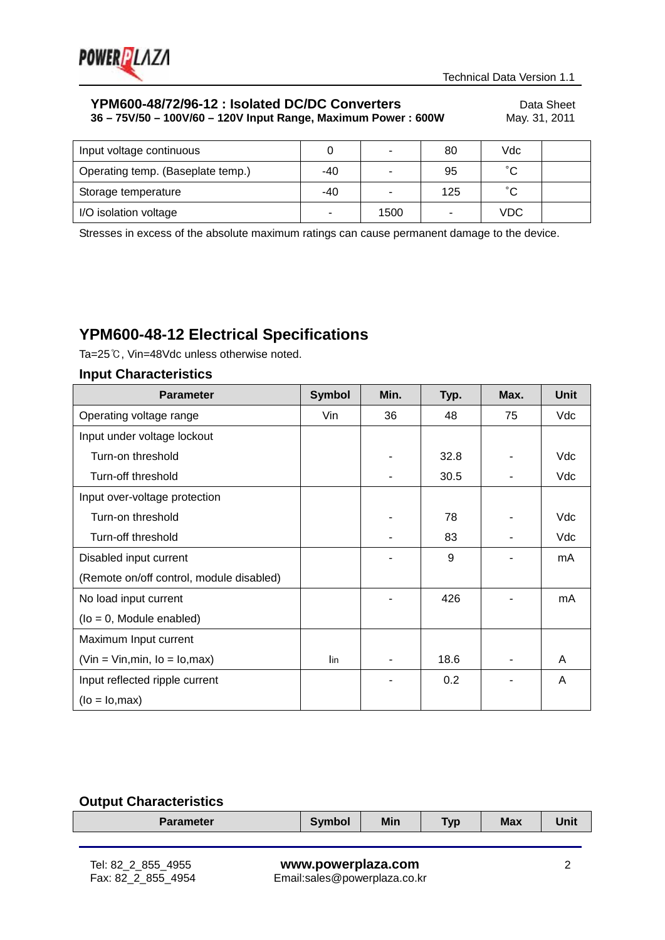

| Input voltage continuous          |       | $\overline{\phantom{0}}$ | 80  | Vdc        |  |
|-----------------------------------|-------|--------------------------|-----|------------|--|
| Operating temp. (Baseplate temp.) | $-40$ |                          | 95  | $\sim$     |  |
| Storage temperature               | $-40$ |                          | 125 | $\sim$     |  |
| I/O isolation voltage             | -     | 1500                     |     | <b>VDC</b> |  |

Stresses in excess of the absolute maximum ratings can cause permanent damage to the device.

# **YPM600-48-12 Electrical Specifications**

Ta=25℃, Vin=48Vdc unless otherwise noted.

### **Input Characteristics**

| <b>Parameter</b>                         | <b>Symbol</b> | Min. | Typ. | Max. | <b>Unit</b> |
|------------------------------------------|---------------|------|------|------|-------------|
| Operating voltage range                  | Vin           | 36   | 48   | 75   | Vdc         |
| Input under voltage lockout              |               |      |      |      |             |
| Turn-on threshold                        |               |      | 32.8 |      | Vdc         |
| Turn-off threshold                       |               |      | 30.5 |      | Vdc         |
| Input over-voltage protection            |               |      |      |      |             |
| Turn-on threshold                        |               |      | 78   |      | Vdc         |
| Turn-off threshold                       |               |      | 83   |      | Vdc         |
| Disabled input current                   |               |      | 9    |      | mA          |
| (Remote on/off control, module disabled) |               |      |      |      |             |
| No load input current                    |               |      | 426  |      | mA          |
| $($ lo = 0, Module enabled $)$           |               |      |      |      |             |
| Maximum Input current                    |               |      |      |      |             |
| $(Vin = Vin, min, Io = Io, max)$         | lin           |      | 18.6 |      | A           |
| Input reflected ripple current           |               |      | 0.2  |      | A           |
| $(lo = Io, max)$                         |               |      |      |      |             |

### **Output Characteristics**

| <b>Parameter</b> | Symbol | Min | <b>Typ</b> | <b>Max</b> | Unit |
|------------------|--------|-----|------------|------------|------|
|                  |        |     |            |            |      |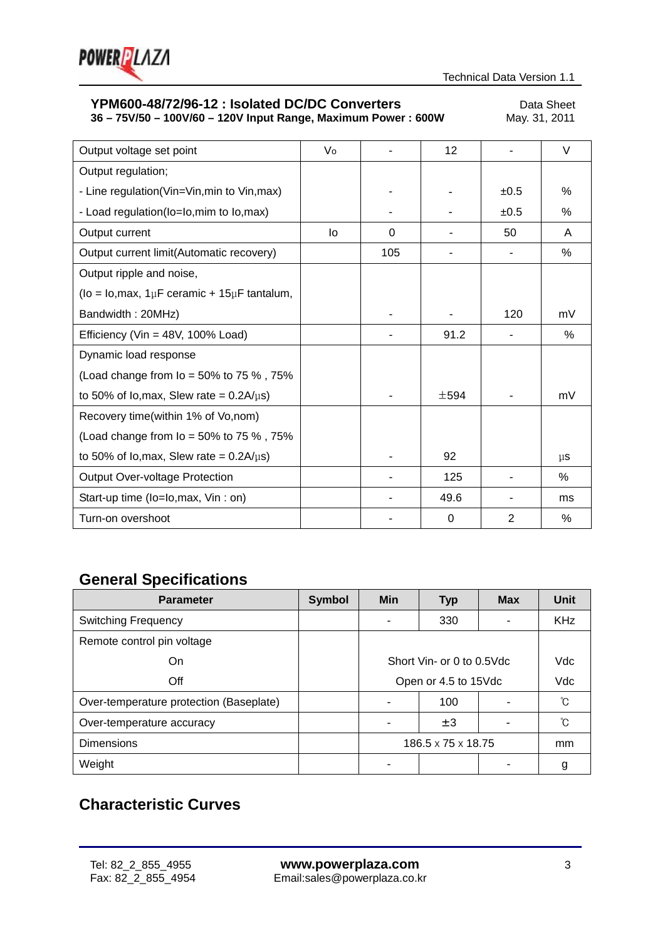

# **YPM600-48/72/96-12 : Isolated DC/DC Converters** Data Sheet<br>36 - 75V/50 - 100V/60 - 120V Input Range, Maximum Power : 600W May. 31, 2011

**36 – 75V/50 – 100V/60 – 120V Input Range, Maximum Power: 600W** 

| Output voltage set point                                | Vo |          | 12        |      | V       |
|---------------------------------------------------------|----|----------|-----------|------|---------|
| Output regulation;                                      |    |          |           |      |         |
| - Line regulation(Vin=Vin, min to Vin, max)             |    |          |           | ±0.5 | $\%$    |
| - Load regulation(lo=lo, mim to lo, max)                |    |          |           | ±0.5 | ℅       |
| Output current                                          | lo | $\Omega$ |           | 50   | A       |
| Output current limit(Automatic recovery)                |    | 105      |           |      | ℅       |
| Output ripple and noise,                                |    |          |           |      |         |
| ( $Io = Io, max, 1\mu F$ ceramic + 15 $\mu F$ tantalum, |    |          |           |      |         |
| Bandwidth: 20MHz)                                       |    |          |           | 120  | mV      |
| Efficiency (Vin = $48V$ , 100% Load)                    |    |          | 91.2      |      | $\%$    |
| Dynamic load response                                   |    |          |           |      |         |
| (Load change from $I_0$ = 50% to 75 %, 75%              |    |          |           |      |         |
| to 50% of lo, max, Slew rate = $0.2A/\mu s$ )           |    |          | $\pm$ 594 |      | mV      |
| Recovery time(within 1% of Vo, nom)                     |    |          |           |      |         |
| (Load change from $I_0$ = 50% to 75 %, 75%              |    |          |           |      |         |
| to 50% of lo, max, Slew rate = $0.2A/\mu s$ )           |    |          | 92        |      | $\mu$ s |
| <b>Output Over-voltage Protection</b>                   |    |          | 125       |      | $\%$    |
| Start-up time (lo=lo, max, Vin : on)                    |    |          | 49.6      |      | ms      |
| Turn-on overshoot                                       |    |          | 0         | 2    | %       |

# **General Specifications**

| <b>Parameter</b>                        | <b>Symbol</b> | <b>Min</b>                     | <b>Typ</b>                | <b>Max</b> | Unit       |  |  |
|-----------------------------------------|---------------|--------------------------------|---------------------------|------------|------------|--|--|
| <b>Switching Frequency</b>              |               |                                | 330                       |            | <b>KHz</b> |  |  |
| Remote control pin voltage              |               |                                |                           |            |            |  |  |
| On                                      |               |                                | Short Vin- or 0 to 0.5Vdc | Vdc        |            |  |  |
| Off                                     |               | Open or 4.5 to 15Vdc           | Vdc                       |            |            |  |  |
| Over-temperature protection (Baseplate) |               |                                | 100                       |            | ℃          |  |  |
| Over-temperature accuracy               |               |                                | $\pm 3$                   |            | ົໂ         |  |  |
| <b>Dimensions</b>                       |               | $186.5 \times 75 \times 18.75$ |                           |            | mm         |  |  |
| Weight                                  |               |                                |                           |            | g          |  |  |

# **Characteristic Curves**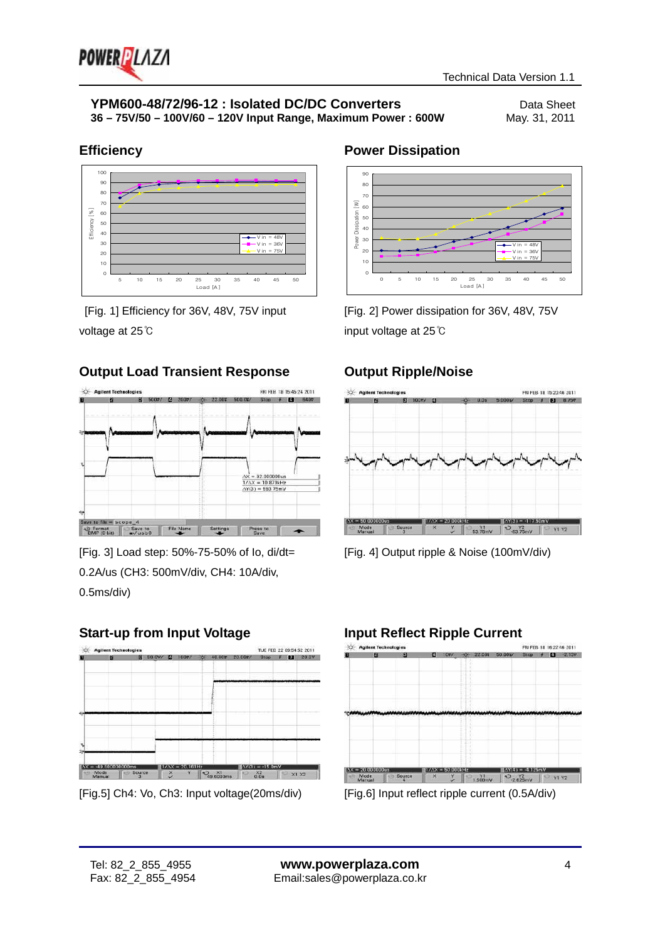

### **Efficiency**



[Fig. 1] Efficiency for 36V, 48V, 75V input voltage at 25℃

### **Output Load Transient Response**



[Fig. 3] Load step: 50%-75-50% of Io, di/dt= 0.2A/us (CH3: 500mV/div, CH4: 10A/div, 0.5ms/div)

### **Start-up from Input Voltage**



[Fig.5] Ch4: Vo, Ch3: Input voltage(20ms/div)

### **Power Dissipation**



[Fig. 2] Power dissipation for 36V, 48V, 75V input voltage at 25℃

### **Output Ripple/Noise**



[Fig. 4] Output ripple & Noise (100mV/div)

# **Input Reflect Ripple Current**

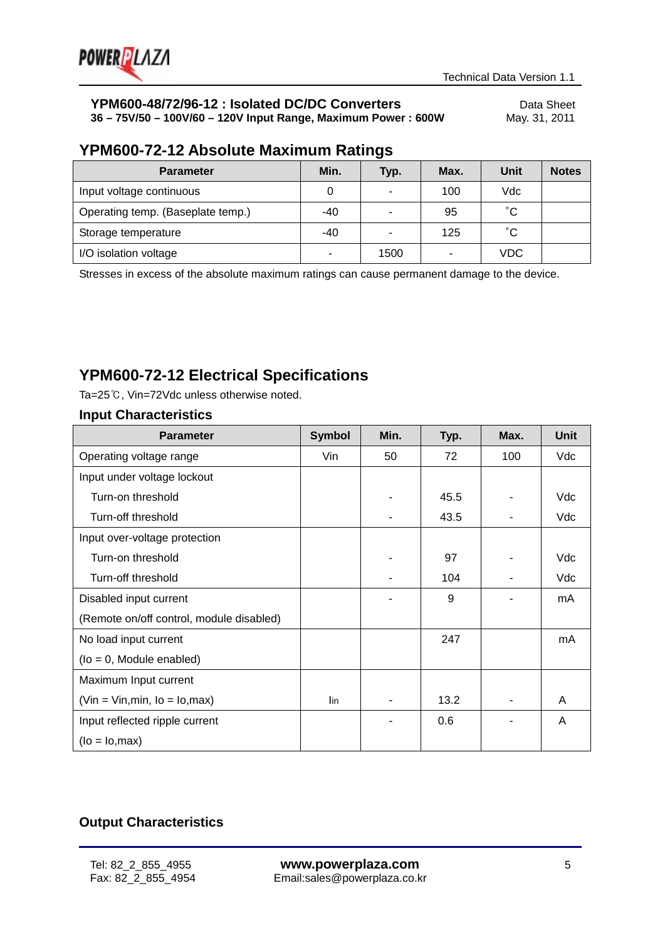

# **YPM600-48/72/96-12 : Isolated DC/DC Converters**<br>36 - 75V/50 - 100V/60 - 120V Input Range, Maximum Power : 600W May. 31, 2011

**36 – 75V/50 – 100V/60 – 120V Input Range, Maximum Power : 600W** 

### **YPM600-72-12 Absolute Maximum Ratings**

| <b>Parameter</b>                  | Min.  | Typ. | Max. | Unit       | <b>Notes</b> |
|-----------------------------------|-------|------|------|------------|--------------|
| Input voltage continuous          |       | -    | 100  | Vdc        |              |
| Operating temp. (Baseplate temp.) | $-40$ |      | 95   | °С         |              |
| Storage temperature               | $-40$ |      | 125  | °С         |              |
| I/O isolation voltage             |       | 1500 | ۰    | <b>VDC</b> |              |

Stresses in excess of the absolute maximum ratings can cause permanent damage to the device.

# **YPM600-72-12 Electrical Specifications**

Ta=25℃, Vin=72Vdc unless otherwise noted.

### **Input Characteristics**

| <b>Parameter</b>                         | <b>Symbol</b> | Min. | Typ. | Max. | <b>Unit</b> |
|------------------------------------------|---------------|------|------|------|-------------|
| Operating voltage range                  | Vin           | 50   | 72   | 100  | Vdc         |
| Input under voltage lockout              |               |      |      |      |             |
| Turn-on threshold                        |               |      | 45.5 |      | Vdc         |
| Turn-off threshold                       |               |      | 43.5 |      | Vdc         |
| Input over-voltage protection            |               |      |      |      |             |
| Turn-on threshold                        |               |      | 97   |      | Vdc         |
| Turn-off threshold                       |               |      | 104  |      | Vdc         |
| Disabled input current                   |               |      | 9    |      | mA          |
| (Remote on/off control, module disabled) |               |      |      |      |             |
| No load input current                    |               |      | 247  |      | mA          |
| $($ lo = 0, Module enabled $)$           |               |      |      |      |             |
| Maximum Input current                    |               |      |      |      |             |
| $(Vin = Vin, min, Io = Io, max)$         | lin           |      | 13.2 |      | A           |
| Input reflected ripple current           |               |      | 0.6  |      | A           |
| $(lo = Io, max)$                         |               |      |      |      |             |

### **Output Characteristics**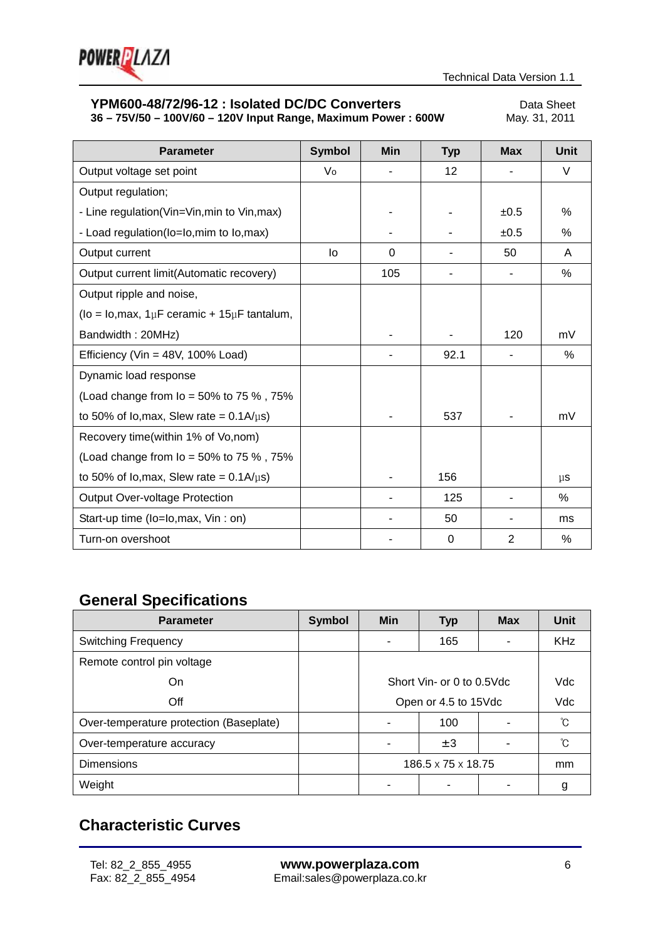

# **YPM600-48/72/96-12 : Isolated DC/DC Converters** Data Sheet<br>36 - 75V/50 - 100V/60 - 120V Input Range, Maximum Power : 600W May. 31, 2011

**36 – 75V/50 – 100V/60 – 120V Input Range, Maximum Power: 600W** 

| <b>Parameter</b>                                              | <b>Symbol</b> | Min      | <b>Typ</b> | <b>Max</b>     | Unit    |
|---------------------------------------------------------------|---------------|----------|------------|----------------|---------|
| Output voltage set point                                      | Vo            |          | 12         |                | V       |
| Output regulation;                                            |               |          |            |                |         |
| - Line regulation(Vin=Vin, min to Vin, max)                   |               |          |            | ±0.5           | $\%$    |
| - Load regulation(lo=lo, mim to lo, max)                      |               |          |            | ±0.5           | $\%$    |
| Output current                                                | lo            | $\Omega$ |            | 50             | A       |
| Output current limit(Automatic recovery)                      |               | 105      |            | ٠              | ℅       |
| Output ripple and noise,                                      |               |          |            |                |         |
| ( $I_0 = I_0$ , max, $1 \mu F$ ceramic + $15 \mu F$ tantalum, |               |          |            |                |         |
| Bandwidth: 20MHz)                                             |               |          |            | 120            | mV      |
| Efficiency (Vin = $48V$ , 100% Load)                          |               |          | 92.1       |                | $\%$    |
| Dynamic load response                                         |               |          |            |                |         |
| (Load change from $I_0 = 50\%$ to 75 %, 75%                   |               |          |            |                |         |
| to 50% of lo, max, Slew rate = $0.1A/\mu s$ )                 |               |          | 537        |                | mV      |
| Recovery time(within 1% of Vo, nom)                           |               |          |            |                |         |
| (Load change from $I_0 = 50\%$ to 75 %, 75%                   |               |          |            |                |         |
| to 50% of lo, max, Slew rate = $0.1A/\mu s$ )                 |               |          | 156        |                | $\mu$ s |
| <b>Output Over-voltage Protection</b>                         |               |          | 125        |                | %       |
| Start-up time (lo=lo, max, Vin : on)                          |               |          | 50         |                | ms      |
| Turn-on overshoot                                             |               |          | 0          | $\overline{2}$ | $\%$    |

# **General Specifications**

| <b>Parameter</b>                        | <b>Symbol</b> | <b>Min</b>                     | <b>Typ</b>                | <b>Max</b> | Unit       |  |  |
|-----------------------------------------|---------------|--------------------------------|---------------------------|------------|------------|--|--|
| <b>Switching Frequency</b>              |               |                                | 165                       |            | <b>KHz</b> |  |  |
| Remote control pin voltage              |               |                                |                           |            |            |  |  |
| On                                      |               |                                | Short Vin- or 0 to 0.5Vdc | <b>Vdc</b> |            |  |  |
| Off                                     |               | Open or 4.5 to 15Vdc           | Vdc                       |            |            |  |  |
| Over-temperature protection (Baseplate) |               |                                | 100                       |            | ົໂ         |  |  |
| Over-temperature accuracy               |               |                                | $\pm 3$                   |            | ົໂ         |  |  |
| <b>Dimensions</b>                       |               | $186.5 \times 75 \times 18.75$ |                           |            | mm         |  |  |
| Weight                                  |               |                                |                           |            | g          |  |  |

# **Characteristic Curves**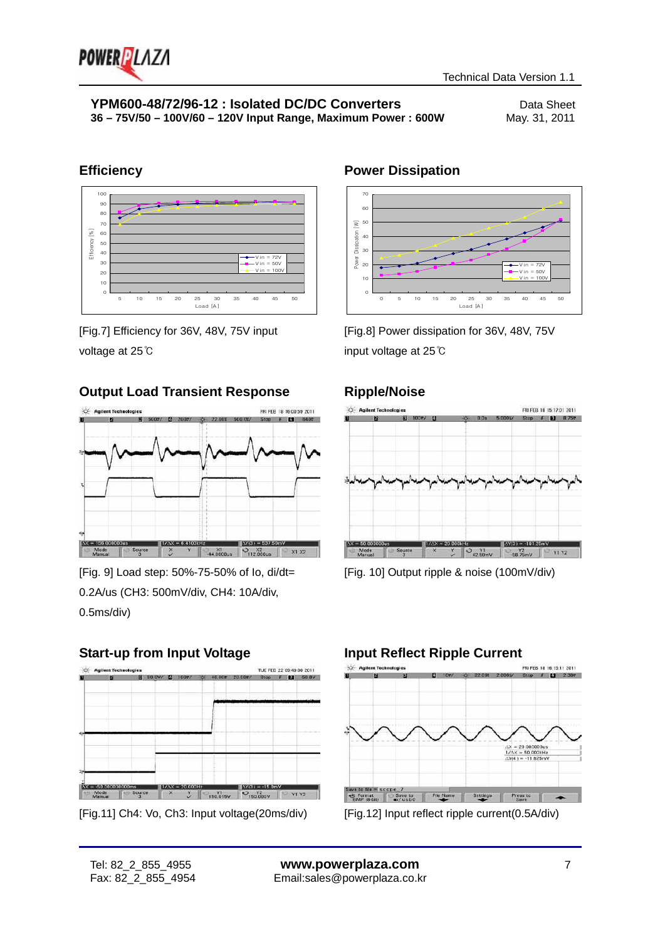

### **Efficiency**



[Fig.7] Efficiency for 36V, 48V, 75V input voltage at 25℃

### **Output Load Transient Response**



[Fig. 9] Load step: 50%-75-50% of Io, di/dt= 0.2A/us (CH3: 500mV/div, CH4: 10A/div, 0.5ms/div)

### **Start-up from Input Voltage**



<sup>[</sup>Fig.11] Ch4: Vo, Ch3: Input voltage(20ms/div)

# **Power Dissipation**



[Fig.8] Power dissipation for 36V, 48V, 75V input voltage at 25℃

### **Ripple/Noise**



[Fig. 10] Output ripple & noise (100mV/div)

# **Input Reflect Ripple Current**



[Fig.12] Input reflect ripple current(0.5A/div)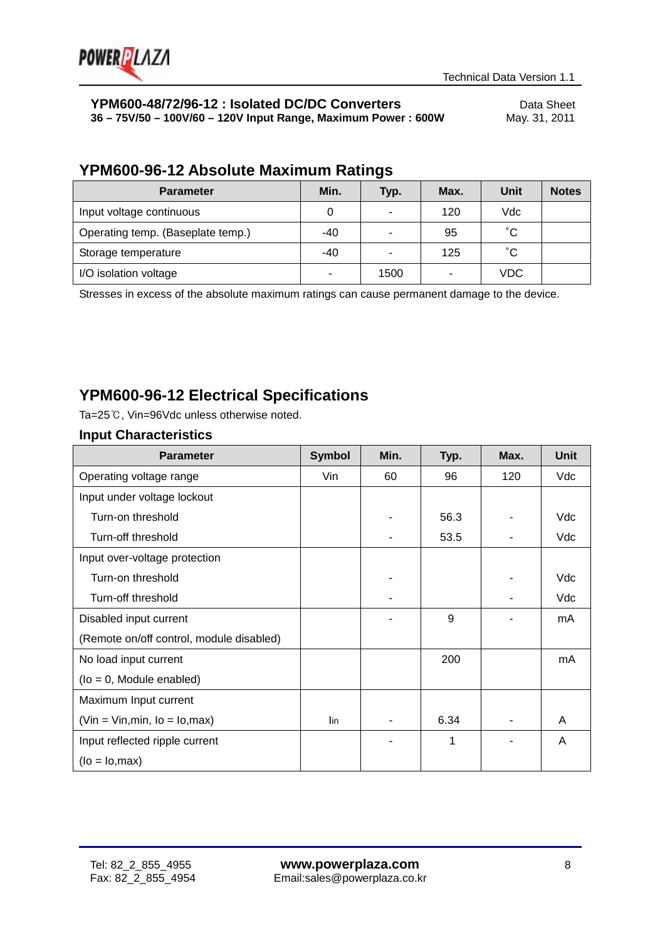

# **YPM600-48/72/96-12 : Isolated DC/DC Converters**<br>36 - 75V/50 - 100V/60 - 120V Input Range, Maximum Power : 600W May. 31, 2011

**36 – 75V/50 – 100V/60 – 120V Input Range, Maximum Power : 600W** 

# **YPM600-96-12 Absolute Maximum Ratings**

| <b>Parameter</b>                  | Min.  | Typ. | Max.           | Unit         | <b>Notes</b> |
|-----------------------------------|-------|------|----------------|--------------|--------------|
| Input voltage continuous          |       | ۰    | 120            | Vdc          |              |
| Operating temp. (Baseplate temp.) | $-40$ |      | 95             | $^{\circ}$ C |              |
| Storage temperature               | $-40$ |      | 125            | $^{\circ}$ C |              |
| I/O isolation voltage             | -     | 1500 | $\blacksquare$ | <b>VDC</b>   |              |

Stresses in excess of the absolute maximum ratings can cause permanent damage to the device.

# **YPM600-96-12 Electrical Specifications**

Ta=25℃, Vin=96Vdc unless otherwise noted.

| <b>Parameter</b>                         | <b>Symbol</b> | Min. | Typ. | Max. | <b>Unit</b> |
|------------------------------------------|---------------|------|------|------|-------------|
| Operating voltage range                  | Vin           | 60   | 96   | 120  | Vdc         |
| Input under voltage lockout              |               |      |      |      |             |
| Turn-on threshold                        |               |      | 56.3 |      | Vdc         |
| Turn-off threshold                       |               |      | 53.5 |      | Vdc         |
| Input over-voltage protection            |               |      |      |      |             |
| Turn-on threshold                        |               |      |      |      | Vdc         |
| Turn-off threshold                       |               |      |      |      | Vdc         |
| Disabled input current                   |               |      | 9    |      | mA          |
| (Remote on/off control, module disabled) |               |      |      |      |             |
| No load input current                    |               |      | 200  |      | mA          |
| $($ lo = 0, Module enabled $)$           |               |      |      |      |             |
| Maximum Input current                    |               |      |      |      |             |
| $(Vin = Vin, min, Io = Io, max)$         | lin           |      | 6.34 |      | A           |
| Input reflected ripple current           |               |      | 1    |      | A           |
| $(lo = Io, max)$                         |               |      |      |      |             |

### **Input Characteristics**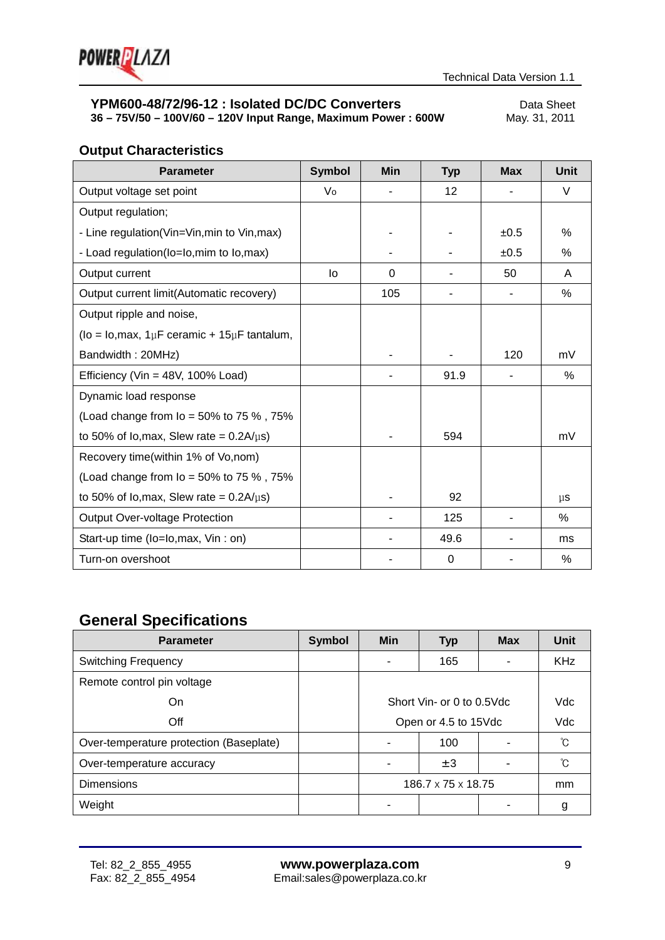

# **YPM600-48/72/96-12 : Isolated DC/DC Converters** Data Sheet<br>36 - 75V/50 - 100V/60 - 120V Input Range, Maximum Power : 600W May. 31, 2011

**36 – 75V/50 – 100V/60 – 120V Input Range, Maximum Power: 600W** 

# **Output Characteristics**

| <b>Parameter</b>                                        | <b>Symbol</b> | Min | <b>Typ</b> | <b>Max</b> | <b>Unit</b> |
|---------------------------------------------------------|---------------|-----|------------|------------|-------------|
| Output voltage set point                                | Vo            |     | 12         |            | V           |
| Output regulation;                                      |               |     |            |            |             |
| - Line regulation(Vin=Vin, min to Vin, max)             |               |     |            | ±0.5       | $\%$        |
| - Load regulation(lo=lo, mim to lo, max)                |               |     |            | ±0.5       | $\%$        |
| Output current                                          | lo            | 0   |            | 50         | A           |
| Output current limit(Automatic recovery)                |               | 105 |            |            | %           |
| Output ripple and noise,                                |               |     |            |            |             |
| (lo = lo, max, $1 \mu$ F ceramic + $15 \mu$ F tantalum, |               |     |            |            |             |
| Bandwidth: 20MHz)                                       |               |     |            | 120        | mV          |
| Efficiency (Vin = 48V, 100% Load)                       |               |     | 91.9       |            | %           |
| Dynamic load response                                   |               |     |            |            |             |
| (Load change from $I_o = 50\%$ to 75 %, 75%             |               |     |            |            |             |
| to 50% of lo, max, Slew rate = $0.2A/\mu s$ )           |               |     | 594        |            | mV          |
| Recovery time(within 1% of Vo, nom)                     |               |     |            |            |             |
| (Load change from $I_0 = 50\%$ to 75 %, 75%             |               |     |            |            |             |
| to 50% of lo, max, Slew rate = $0.2A/\mu s$ )           |               |     | 92         |            | $\mu$ s     |
| <b>Output Over-voltage Protection</b>                   |               |     | 125        |            | $\%$        |
| Start-up time (lo=lo, max, Vin : on)                    |               |     | 49.6       |            | ms          |
| Turn-on overshoot                                       |               |     | 0          |            | %           |

# **General Specifications**

| <b>Parameter</b>                        | <b>Symbol</b> | Min                            | <b>Typ</b> | <b>Max</b> | Unit       |
|-----------------------------------------|---------------|--------------------------------|------------|------------|------------|
| <b>Switching Frequency</b>              |               |                                | 165        |            | <b>KHz</b> |
| Remote control pin voltage              |               |                                |            |            |            |
| On                                      |               | Short Vin- or 0 to 0.5Vdc      |            |            | <b>Vdc</b> |
| Off                                     |               | Open or 4.5 to 15Vdc           |            |            | Vdc        |
| Over-temperature protection (Baseplate) |               |                                | 100        |            | ົໂ         |
| Over-temperature accuracy               |               |                                | $\pm 3$    |            | ົົໂ        |
| <b>Dimensions</b>                       |               | $186.7 \times 75 \times 18.75$ |            |            | mm         |
| Weight                                  |               |                                |            |            | g          |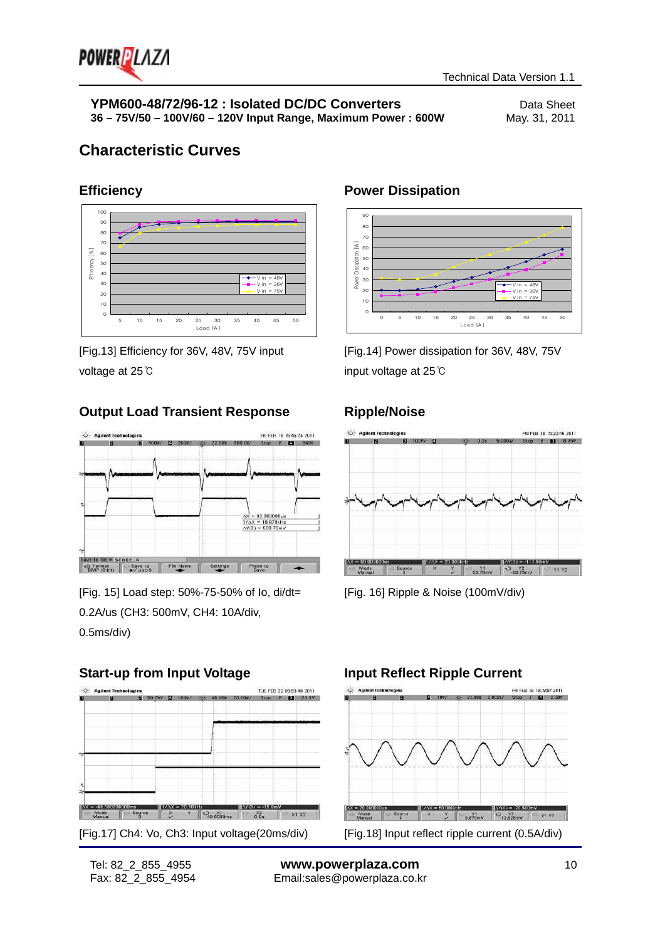

V in =  $48V$  $V$  in =  $36V$  $V$  in = 75 $V$ 

# **Characteristic Curves**

### **Efficiency**



[Fig.13] Efficiency for 36V, 48V, 75V input voltage at 25℃

### **Output Load Transient Response**



[Fig. 15] Load step: 50%-75-50% of Io, di/dt= 0.2A/us (CH3: 500mV, CH4: 10A/div, 0.5ms/div)

### **Start-up from Input Voltage**



Power Dissipation [W]

Power

Dissipation

 $\overline{\geq}$ 

[Fig.14] Power dissipation for 36V, 48V, 75V input voltage at 25℃

0 5 10 15 20 25 30 35 40 45 50 Load [A]

### **Ripple/Noise**

**Power Dissipation**



[Fig. 16] Ripple & Noise (100mV/div)

### **Input Reflect Ripple Current**

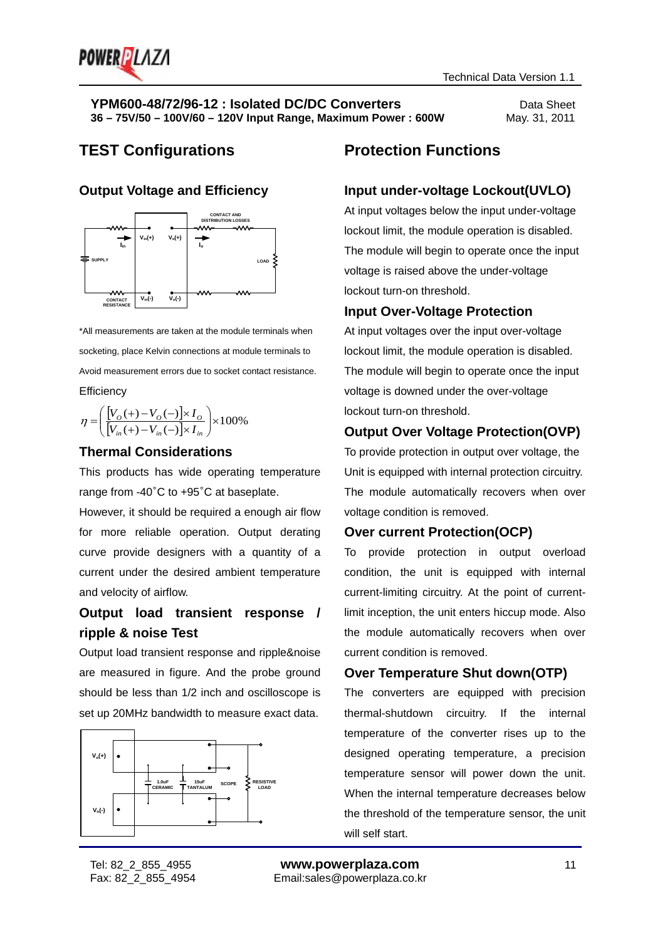

# **TEST Configurations Protection Functions**

### **Output Voltage and Efficiency**



\*All measurements are taken at the module terminals when socketing, place Kelvin connections at module terminals to Avoid measurement errors due to socket contact resistance. **Efficiency** 

$$
\eta = \left( \frac{[V_O(+) - V_O(-)] \times I_O}{[V_{in}(+) - V_{in}(-)] \times I_{in}} \right) \times 100\%
$$

### **Thermal Considerations**

This products has wide operating temperature range from -40°C to +95°C at baseplate.

However, it should be required a enough air flow for more reliable operation. Output derating curve provide designers with a quantity of a current under the desired ambient temperature and velocity of airflow.

### **Output load transient response / ripple & noise Test**

Output load transient response and ripple&noise are measured in figure. And the probe ground should be less than 1/2 inch and oscilloscope is set up 20MHz bandwidth to measure exact data.



### **Input under-voltage Lockout(UVLO)**

At input voltages below the input under-voltage lockout limit, the module operation is disabled. The module will begin to operate once the input voltage is raised above the under-voltage lockout turn-on threshold.

### **Input Over-Voltage Protection**

At input voltages over the input over-voltage lockout limit, the module operation is disabled. The module will begin to operate once the input voltage is downed under the over-voltage lockout turn-on threshold.

### **Output Over Voltage Protection(OVP)**

To provide protection in output over voltage, the Unit is equipped with internal protection circuitry. The module automatically recovers when over voltage condition is removed.

### **Over current Protection(OCP)**

To provide protection in output overload condition, the unit is equipped with internal current-limiting circuitry. At the point of currentlimit inception, the unit enters hiccup mode. Also the module automatically recovers when over current condition is removed.

### **Over Temperature Shut down(OTP)**

The converters are equipped with precision thermal-shutdown circuitry. If the internal temperature of the converter rises up to the designed operating temperature, a precision temperature sensor will power down the unit. When the internal temperature decreases below the threshold of the temperature sensor, the unit will self start.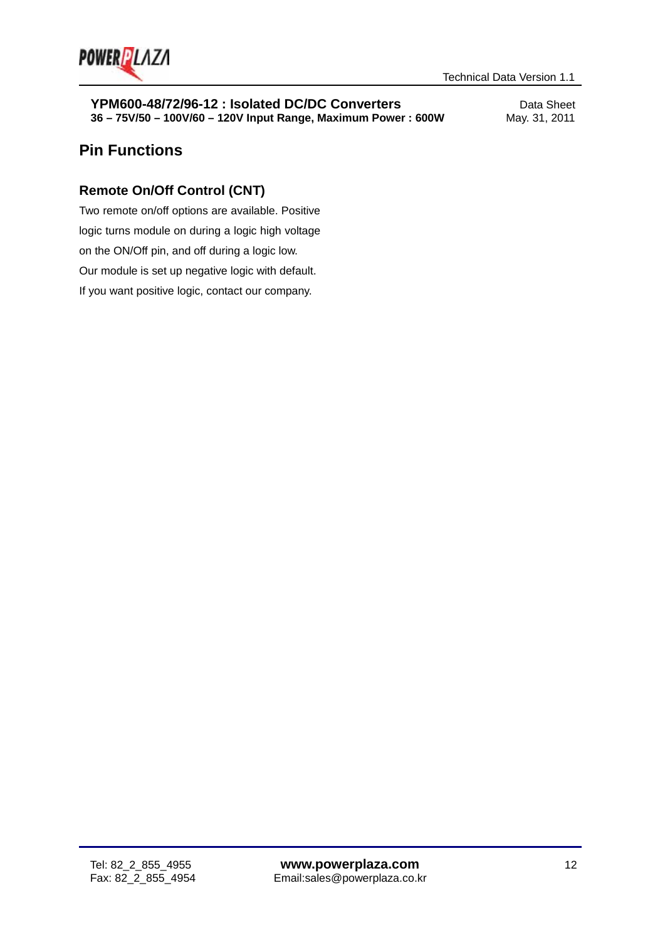

# **Pin Functions**

### **Remote On/Off Control (CNT)**

Two remote on/off options are available. Positive logic turns module on during a logic high voltage on the ON/Off pin, and off during a logic low. Our module is set up negative logic with default. If you want positive logic, contact our company.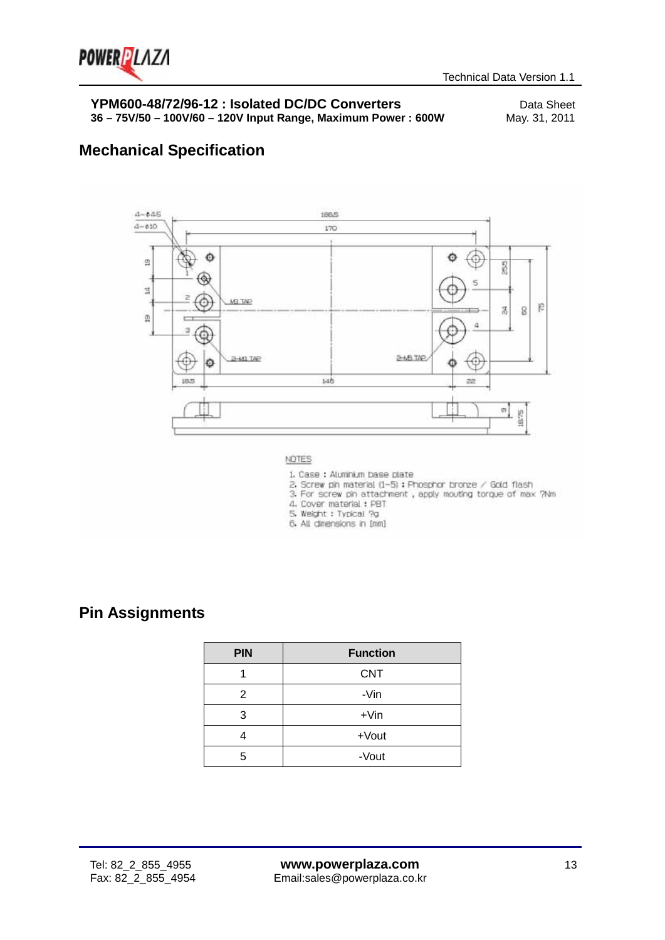

# **Mechanical Specification**



- 2. Screw pin material (1—5) : Phosphor bronze / Gold flash<br>3. For screw pin attachment , apply mouting torque of max ?Nm
	-
- 4. Cover material: PBT
- 5. Weight : Typical ?g
- 6. All dimensions in [mm]

# **Pin Assignments**

| <b>PIN</b> | <b>Function</b> |  |  |
|------------|-----------------|--|--|
|            | <b>CNT</b>      |  |  |
| 2          | -Vin            |  |  |
| 3          | $+V$ in         |  |  |
|            | +Vout           |  |  |
| 5          | -Vout           |  |  |